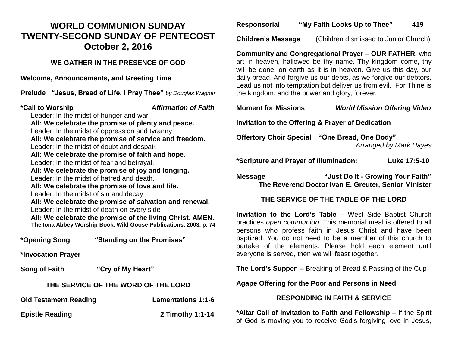## **WORLD COMMUNION SUNDAY TWENTY-SECOND SUNDAY OF PENTECOST October 2, 2016**

**WE GATHER IN THE PRESENCE OF GOD**

**Welcome, Announcements, and Greeting Time** 

**Prelude "Jesus, Bread of Life, I Pray Thee"** *by Douglas Wagner*

**\*Call to Worship** *Affirmation of Faith*

Leader: In the midst of hunger and war **All: We celebrate the promise of plenty and peace.** Leader: In the midst of oppression and tyranny **All: We celebrate the promise of service and freedom.** Leader: In the midst of doubt and despair, **All: We celebrate the promise of faith and hope.** Leader: In the midst of fear and betrayal, **All: We celebrate the promise of joy and longing.** Leader: In the midst of hatred and death, **All: We celebrate the promise of love and life.** Leader: In the midst of sin and decay **All: We celebrate the promise of salvation and renewal.** Leader: In the midst of death on every side **All: We celebrate the promise of the living Christ. AMEN. The Iona Abbey Worship Book, Wild Goose Publications, 2003, p. 74**

**\*Opening Song "Standing on the Promises"** 

**\*Invocation Prayer** 

| <b>Song of Faith</b> | "Cry of My Heart" |
|----------------------|-------------------|
|----------------------|-------------------|

#### **THE SERVICE OF THE WORD OF THE LORD**

| <b>Old Testament Reading</b> | <b>Lamentations 1:1-6</b> |
|------------------------------|---------------------------|
| <b>Epistle Reading</b>       | 2 Timothy 1:1-14          |

**Responsorial "My Faith Looks Up to Thee" 419**

**Children's Message** (Children dismissed to Junior Church)

**Community and Congregational Prayer – OUR FATHER,** who art in heaven, hallowed be thy name. Thy kingdom come, thy will be done, on earth as it is in heaven. Give us this day, our daily bread. And forgive us our debts, as we forgive our debtors. Lead us not into temptation but deliver us from evil. For Thine is the kingdom, and the power and glory, forever.

#### **Moment for Missions** *World Mission Offering Video*

**Invitation to the Offering & Prayer of Dedication** 

**Offertory Choir Special "One Bread, One Body"**  *Arranged by Mark Hayes*

**\*Scripture and Prayer of Illumination: Luke 17:5-10** 

**Message "Just Do It - Growing Your Faith" The Reverend Doctor Ivan E. Greuter, Senior Minister**

### **THE SERVICE OF THE TABLE OF THE LORD**

**Invitation to the Lord's Table –** West Side Baptist Church practices *open communion*. This memorial meal is offered to all persons who profess faith in Jesus Christ and have been baptized. You do not need to be a member of this church to partake of the elements. Please hold each element until everyone is served, then we will feast together.

**The Lord's Supper –** Breaking of Bread & Passing of the Cup

#### **Agape Offering for the Poor and Persons in Need**

### **RESPONDING IN FAITH & SERVICE**

**\*Altar Call of Invitation to Faith and Fellowship –** If the Spirit of God is moving you to receive God's forgiving love in Jesus,